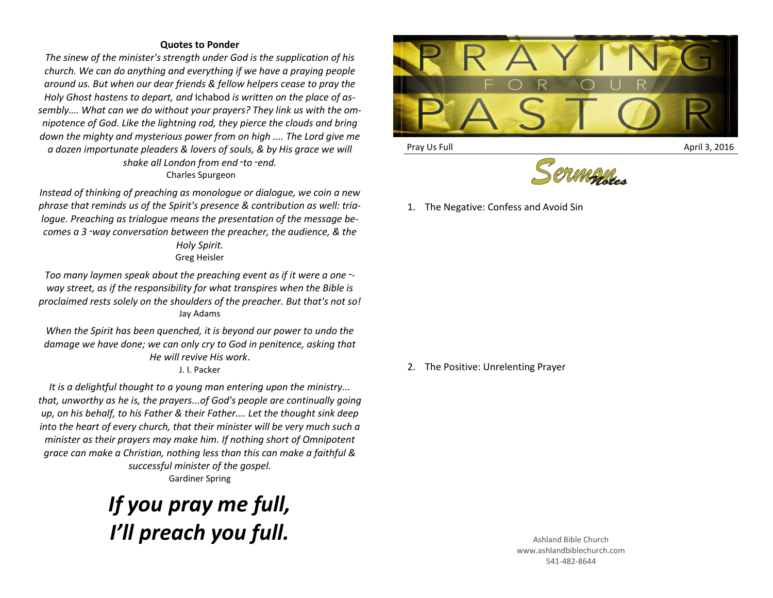## **Quotes to Ponder**

*The sinew of the minister's strength under God is the supplication of his church. We can do anything and everything if we have a praying people around us. But when our dear friends & fellow helpers cease to pray the Holy Ghost hastens to depart, and* Ichabod *is written on the place of assembly…. What can we do without your prayers? They link us with the omnipotence of God. Like the lightning rod, they pierce the clouds and bring down the mighty and mysterious power from on high .... The Lord give me a dozen importunate pleaders & lovers of souls, & by His grace we will shake all London from end*‑*to*‑*end.* Charles Spurgeon

*Instead of thinking of preaching as monologue or dialogue, we coin a new phrase that reminds us of the Spirit's presence & contribution as well: trialogue. Preaching as trialogue means the presentation of the message becomes a 3*‑*way conversation between the preacher, the audience, & the Holy Spirit.* Greg Heisler

*Too many laymen speak about the preaching event as if it were a one*‑ *way street, as if the responsibility for what transpires when the Bible is proclaimed rests solely on the shoulders of the preacher. But that's not so!* Jay Adams

*When the Spirit has been quenched, it is beyond our power to undo the damage we have done; we can only cry to God in penitence, asking that He will revive His work*.

J. I. Packer

*It is a delightful thought to a young man entering upon the ministry... that, unworthy as he is, the prayers...of God's people are continually going up, on his behalf, to his Father & their Father…. Let the thought sink deep into the heart of every church, that their minister will be very much such a minister as their prayers may make him. If nothing short of Omnipotent grace can make a Christian, nothing less than this can make a faithful & successful minister of the gospel.* Gardiner Spring

## *If you pray me full, I'll preach you full.* Ashland Bible Church



Pray Us Full April 3, 2016



1. The Negative: Confess and Avoid Sin

2. The Positive: Unrelenting Prayer

www.ashlandbiblechurch.com 541-482-8644